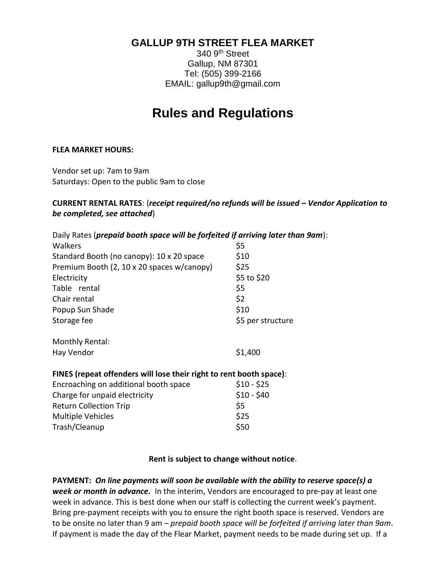# **GALLUP 9TH STREET FLEA MARKET**

340 9th Street Gallup, NM 87301 Tel: (505) 399-2166 EMAIL: gallup9th@gmail.com

# **Rules and Regulations**

#### **FLEA MARKET HOURS:**

Vendor set up: 7am to 9am Saturdays: Open to the public 9am to close

#### **CURRENT RENTAL RATES**: (*receipt required/no refunds will be issued – Vendor Application to be completed, see attached*)

| Daily Rates (prepaid booth space will be forfeited if arriving later than 9am): |                   |  |
|---------------------------------------------------------------------------------|-------------------|--|
| Walkers                                                                         | \$5               |  |
| Standard Booth (no canopy): 10 x 20 space                                       | \$10              |  |
| Premium Booth (2, 10 x 20 spaces w/canopy)                                      | \$25              |  |
| Electricity                                                                     | \$5 to \$20       |  |
| Table rental                                                                    | \$5               |  |
| Chair rental                                                                    | \$2               |  |
| Popup Sun Shade                                                                 | \$10              |  |
| Storage fee                                                                     | \$5 per structure |  |
| Monthly Rental:                                                                 |                   |  |
| Hay Vendor                                                                      | \$1,400           |  |
| FINES (repeat offenders will lose their right to rent booth space):             |                   |  |
| Encroaching on additional booth space                                           | $$10 - $25$       |  |
| Charge for unpaid electricity                                                   | $$10 - $40$       |  |
| <b>Return Collection Trip</b>                                                   | \$5               |  |
| <b>Multiple Vehicles</b>                                                        | \$25              |  |
| Trash/Cleanup                                                                   | \$50              |  |

#### **Rent is subject to change without notice**.

**PAYMENT:** *On line payments will soon be available with the ability to reserve space(s) a week or month in advance.* In the interim, Vendors are encouraged to pre-pay at least one week in advance. This is best done when our staff is collecting the current week's payment. Bring pre-payment receipts with you to ensure the right booth space is reserved. Vendors are to be onsite no later than 9 am – *prepaid booth space will be forfeited if arriving later than 9am*. If payment is made the day of the Flear Market, payment needs to be made during set up. If a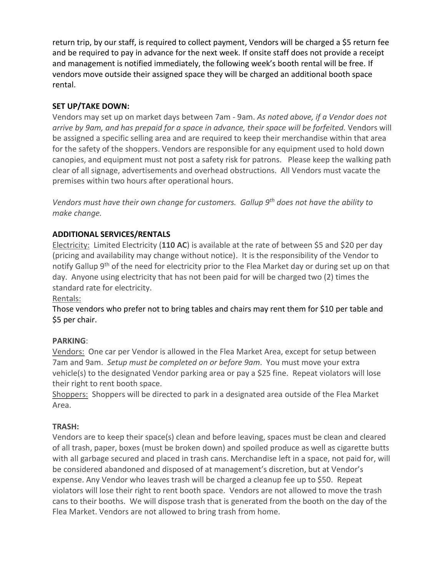return trip, by our staff, is required to collect payment, Vendors will be charged a \$5 return fee and be required to pay in advance for the next week. If onsite staff does not provide a receipt and management is notified immediately, the following week's booth rental will be free. If vendors move outside their assigned space they will be charged an additional booth space rental.

## **SET UP/TAKE DOWN:**

Vendors may set up on market days between 7am - 9am. *As noted above, if a Vendor does not arrive by 9am, and has prepaid for a space in advance, their space will be forfeited.* Vendors will be assigned a specific selling area and are required to keep their merchandise within that area for the safety of the shoppers. Vendors are responsible for any equipment used to hold down canopies, and equipment must not post a safety risk for patrons. Please keep the walking path clear of all signage, advertisements and overhead obstructions. All Vendors must vacate the premises within two hours after operational hours.

*Vendors must have their own change for customers. Gallup 9th does not have the ability to make change.* 

### **ADDITIONAL SERVICES/RENTALS**

Electricity: Limited Electricity (**110 AC**) is available at the rate of between \$5 and \$20 per day (pricing and availability may change without notice). It is the responsibility of the Vendor to notify Gallup 9<sup>th</sup> of the need for electricity prior to the Flea Market day or during set up on that day. Anyone using electricity that has not been paid for will be charged two (2) times the standard rate for electricity.

### Rentals:

Those vendors who prefer not to bring tables and chairs may rent them for \$10 per table and \$5 per chair.

### **PARKING**:

Vendors: One car per Vendor is allowed in the Flea Market Area, except for setup between 7am and 9am. *Setup must be completed on or before 9am*. You must move your extra vehicle(s) to the designated Vendor parking area or pay a \$25 fine. Repeat violators will lose their right to rent booth space.

Shoppers: Shoppers will be directed to park in a designated area outside of the Flea Market Area.

### **TRASH:**

Vendors are to keep their space(s) clean and before leaving, spaces must be clean and cleared of all trash, paper, boxes (must be broken down) and spoiled produce as well as cigarette butts with all garbage secured and placed in trash cans. Merchandise left in a space, not paid for, will be considered abandoned and disposed of at management's discretion, but at Vendor's expense. Any Vendor who leaves trash will be charged a cleanup fee up to \$50. Repeat violators will lose their right to rent booth space. Vendors are not allowed to move the trash cans to their booths. We will dispose trash that is generated from the booth on the day of the Flea Market. Vendors are not allowed to bring trash from home.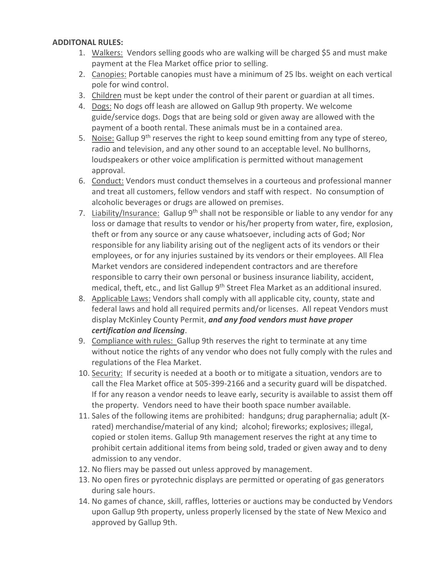#### **ADDITONAL RULES:**

- 1. Walkers: Vendors selling goods who are walking will be charged \$5 and must make payment at the Flea Market office prior to selling.
- 2. Canopies: Portable canopies must have a minimum of 25 lbs. weight on each vertical pole for wind control.
- 3. Children must be kept under the control of their parent or guardian at all times.
- 4. Dogs: No dogs off leash are allowed on Gallup 9th property. We welcome guide/service dogs. Dogs that are being sold or given away are allowed with the payment of a booth rental. These animals must be in a contained area.
- 5. Noise: Gallup  $9<sup>th</sup>$  reserves the right to keep sound emitting from any type of stereo, radio and television, and any other sound to an acceptable level. No bullhorns, loudspeakers or other voice amplification is permitted without management approval.
- 6. Conduct: Vendors must conduct themselves in a courteous and professional manner and treat all customers, fellow vendors and staff with respect. No consumption of alcoholic beverages or drugs are allowed on premises.
- 7. Liability/Insurance: Gallup  $9<sup>th</sup>$  shall not be responsible or liable to any vendor for any loss or damage that results to vendor or his/her property from water, fire, explosion, theft or from any source or any cause whatsoever, including acts of God; Nor responsible for any liability arising out of the negligent acts of its vendors or their employees, or for any injuries sustained by its vendors or their employees. All Flea Market vendors are considered independent contractors and are therefore responsible to carry their own personal or business insurance liability, accident, medical, theft, etc., and list Gallup 9<sup>th</sup> Street Flea Market as an additional insured.
- 8. Applicable Laws: Vendors shall comply with all applicable city, county, state and federal laws and hold all required permits and/or licenses. All repeat Vendors must display McKinley County Permit, *and any food vendors must have proper certification and licensing*.
- 9. Compliance with rules: Gallup 9th reserves the right to terminate at any time without notice the rights of any vendor who does not fully comply with the rules and regulations of the Flea Market.
- 10. Security: If security is needed at a booth or to mitigate a situation, vendors are to call the Flea Market office at 505-399-2166 and a security guard will be dispatched. If for any reason a vendor needs to leave early, security is available to assist them off the property. Vendors need to have their booth space number available.
- 11. Sales of the following items are prohibited: handguns; drug paraphernalia; adult (Xrated) merchandise/material of any kind; alcohol; fireworks; explosives; illegal, copied or stolen items. Gallup 9th management reserves the right at any time to prohibit certain additional items from being sold, traded or given away and to deny admission to any vendor.
- 12. No fliers may be passed out unless approved by management.
- 13. No open fires or pyrotechnic displays are permitted or operating of gas generators during sale hours.
- 14. No games of chance, skill, raffles, lotteries or auctions may be conducted by Vendors upon Gallup 9th property, unless properly licensed by the state of New Mexico and approved by Gallup 9th.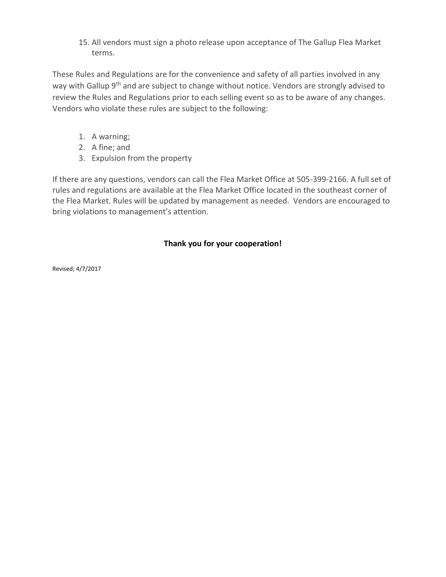15. All vendors must sign a photo release upon acceptance of The Gallup Flea Market terms.

These Rules and Regulations are for the convenience and safety of all parties involved in any way with Gallup 9<sup>th</sup> and are subject to change without notice. Vendors are strongly advised to review the Rules and Regulations prior to each selling event so as to be aware of any changes. Vendors who violate these rules are subject to the following:

- 1. A warning;
- 2. A fine; and
- 3. Expulsion from the property

If there are any questions, vendors can call the Flea Market Office at 505-399-2166. A full set of rules and regulations are available at the Flea Market Office located in the southeast corner of the Flea Market. Rules will be updated by management as needed. Vendors are encouraged to bring violations to management's attention.

# **Thank you for your cooperation!**

Revised; 4/7/2017